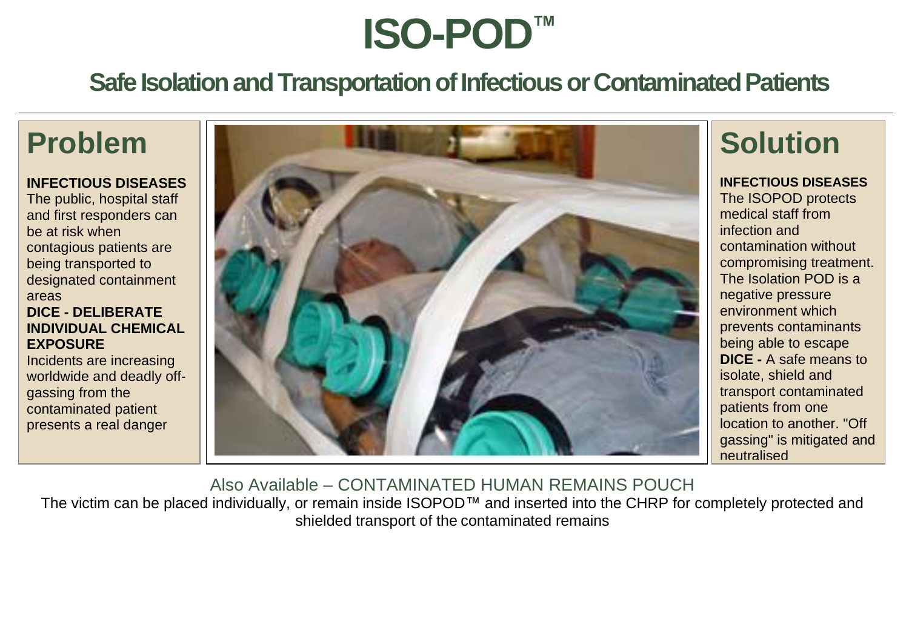# **ISO-POD™**

## **Safe Isolation and Transportation of Infectious or Contaminated Patients**

## **Problem**

#### **INFECTIOUS DISEASES**

The public, hospital staff and first responders can be at risk when contagious patients are being transported to designated containment areas **DICE - DELIBERATE INDIVIDUAL CHEMICAL EXPOSURE** 

Incidents are increasing worldwide and deadly offgassing from the contaminated patient presents a real danger



**Solution**

#### **INFECTIOUS DISEASES**

The ISOPOD protects medical staff from infection and contamination without compromising treatment. The Isolation POD is a negative pressure environment which prevents contaminants being able to escape **DICE -** A safe means to isolate, shield and transport contaminated patients from one location to another. "Off gassing" is mitigated and neutralised

Also Available – CONTAMINATED HUMAN REMAINS POUCH The victim can be placed individually, or remain inside ISOPOD™ and inserted into the CHRP for completely protected and shielded transport of the contaminated remains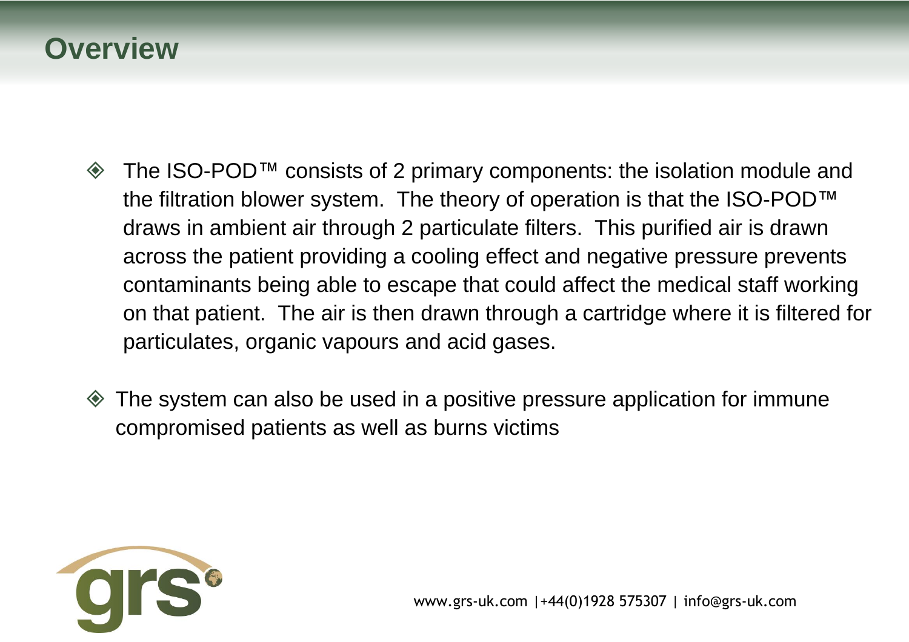## **Overview**

- The ISO-POD™ consists of 2 primary components: the isolation module and the filtration blower system. The theory of operation is that the ISO-POD™ draws in ambient air through 2 particulate filters. This purified air is drawn across the patient providing a cooling effect and negative pressure prevents contaminants being able to escape that could affect the medical staff working on that patient. The air is then drawn through a cartridge where it is filtered for particulates, organic vapours and acid gases.
- The system can also be used in a positive pressure application for immune compromised patients as well as burns victims

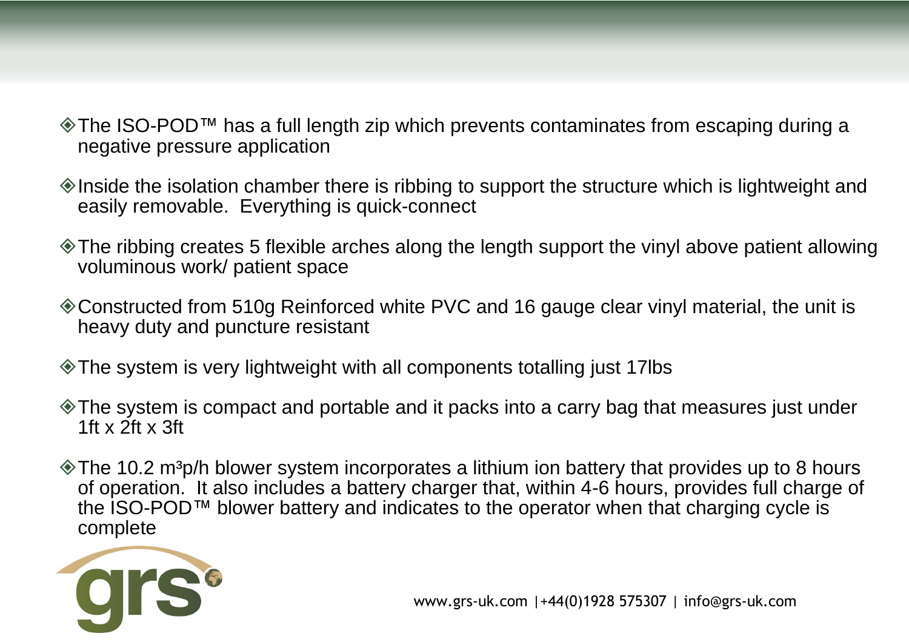- The ISO-POD™ has a full length zip which prevents contaminates from escaping during a negative pressure application
- $\Diamond$  Inside the isolation chamber there is ribbing to support the structure which is lightweight and easily removable. Everything is quick-connect
- The ribbing creates 5 flexible arches along the length support the vinyl above patient allowing voluminous work/ patient space
- Constructed from 510g Reinforced white PVC and 16 gauge clear vinyl material, the unit is heavy duty and puncture resistant
- The system is very lightweight with all components totalling just 17lbs
- The system is compact and portable and it packs into a carry bag that measures just under 1ft x 2ft x 3ft
- $\Diamond$  The 10.2 m<sup>3</sup>p/h blower system incorporates a lithium ion battery that provides up to 8 hours of operation. It also includes a battery charger that, within 4-6 hours, provides full charge of the ISO-POD™ blower battery and indicates to the operator when that charging cycle is complete

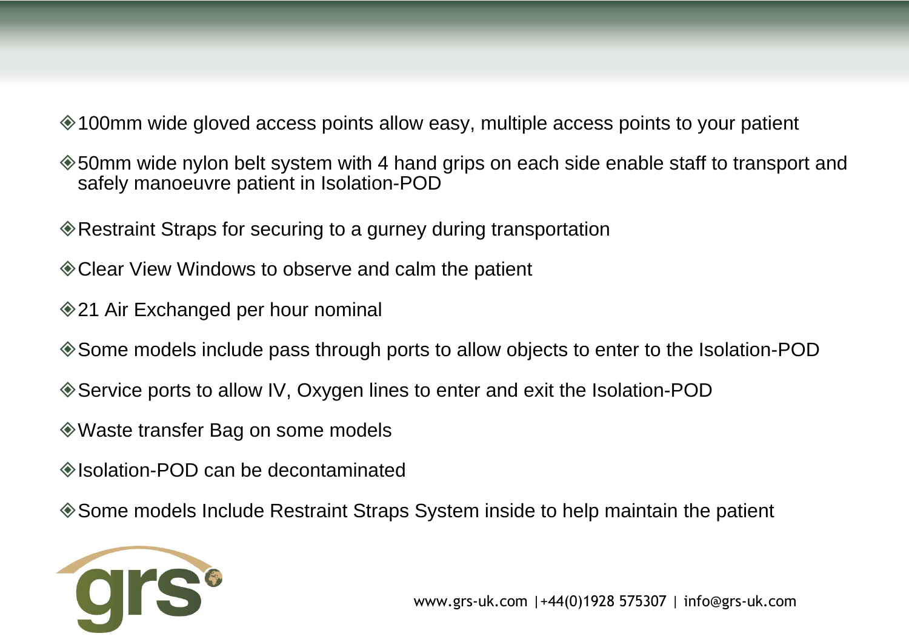- 100mm wide gloved access points allow easy, multiple access points to your patient
- 50mm wide nylon belt system with 4 hand grips on each side enable staff to transport and safely manoeuvre patient in Isolation-POD
- Restraint Straps for securing to a gurney during transportation
- Clear View Windows to observe and calm the patient
- **♦ 21 Air Exchanged per hour nominal**
- Some models include pass through ports to allow objects to enter to the Isolation-POD
- Service ports to allow IV, Oxygen lines to enter and exit the Isolation-POD
- Waste transfer Bag on some models
- Isolation-POD can be decontaminated
- Some models Include Restraint Straps System inside to help maintain the patient

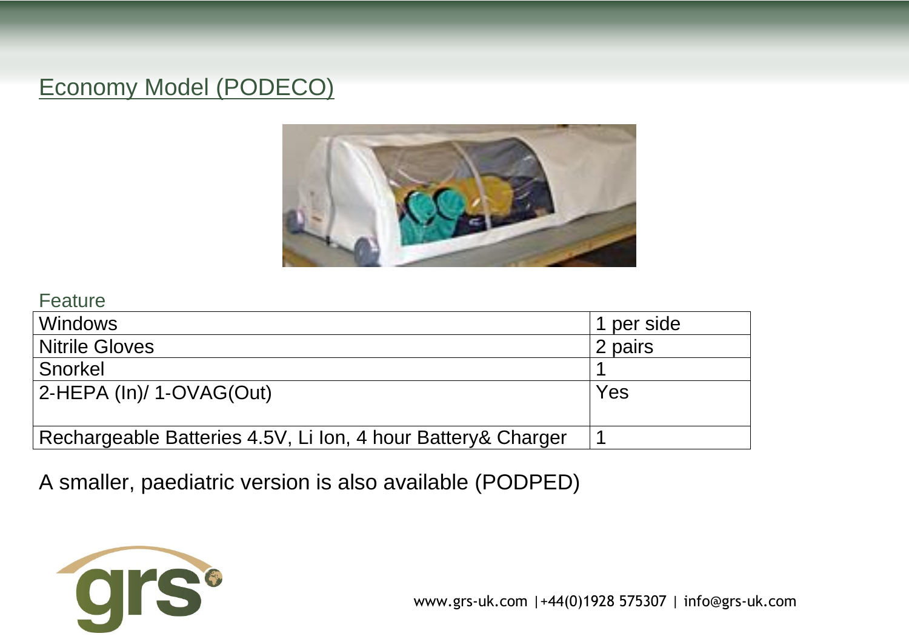## Economy Model (PODECO)



#### **Feature**

| <b>Windows</b>                                               | 1 per side |
|--------------------------------------------------------------|------------|
| <b>Nitrile Gloves</b>                                        | 2 pairs    |
| Snorkel                                                      |            |
| $ 2$ -HEPA (ln)/ 1-OVAG(Out)                                 | Yes        |
|                                                              |            |
| Rechargeable Batteries 4.5V, Li Ion, 4 hour Battery& Charger |            |

A smaller, paediatric version is also available (PODPED)

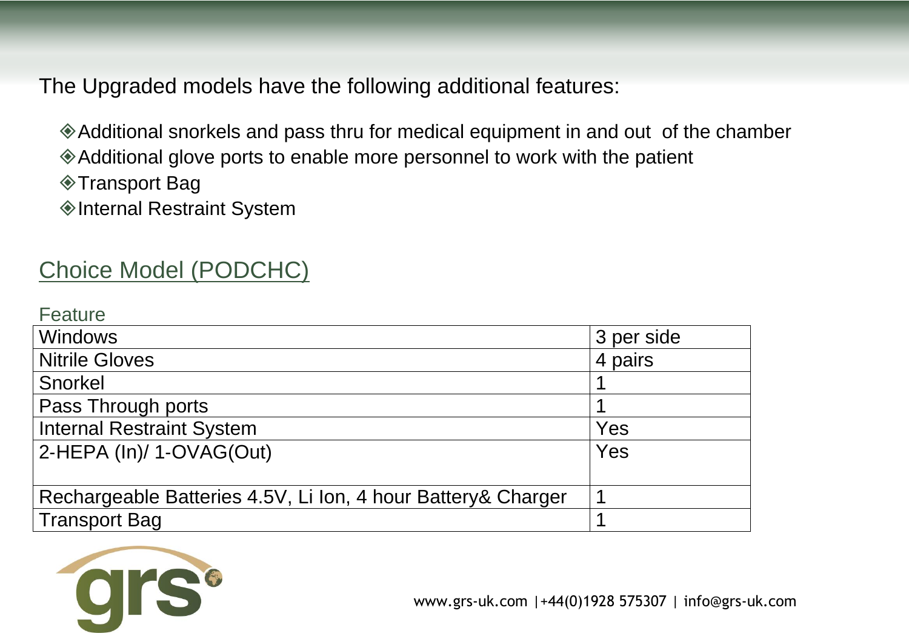The Upgraded models have the following additional features:

Additional snorkels and pass thru for medical equipment in and out of the chamber Additional glove ports to enable more personnel to work with the patient **◆ Transport Bag** 

◆Internal Restraint System

## Choice Model (PODCHC)

| Feature                                                       |            |
|---------------------------------------------------------------|------------|
| <b>Windows</b>                                                | 3 per side |
| Nitrile Gloves                                                | 4 pairs    |
| Snorkel                                                       |            |
| Pass Through ports                                            |            |
| <b>Internal Restraint System</b>                              | Yes        |
| $ 2$ -HEPA (ln)/ 1-OVAG(Out)                                  | Yes        |
|                                                               |            |
| Rechargeable Batteries 4.5V, Li Ion, 4 hour Battery & Charger |            |
| Transport Bag                                                 |            |

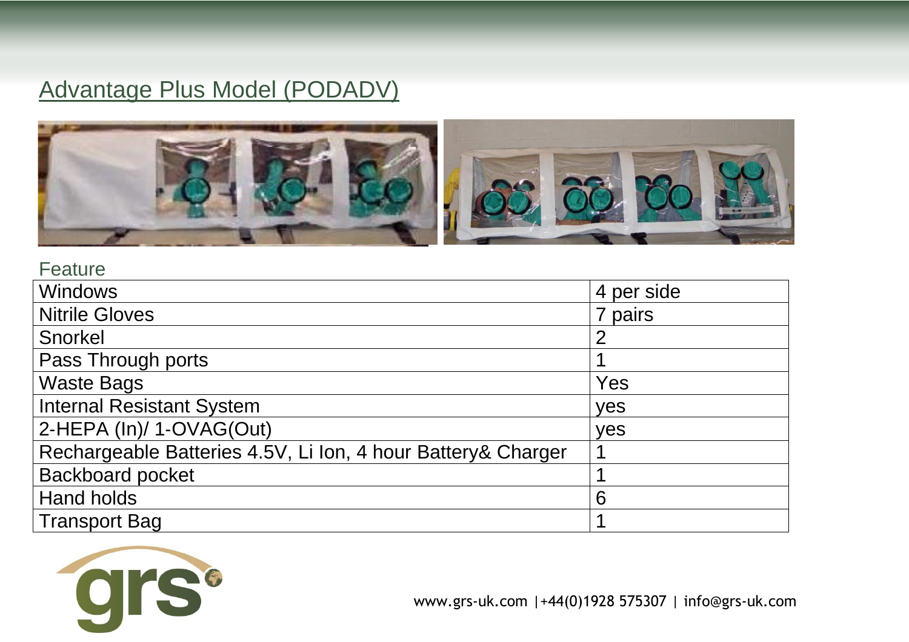## Advantage Plus Model (PODADV)



#### **Feature**

| <b>Windows</b>                                               | 4 per side     |
|--------------------------------------------------------------|----------------|
| <b>Nitrile Gloves</b>                                        | 7 pairs        |
| Snorkel                                                      | $\overline{2}$ |
| Pass Through ports                                           |                |
| <b>Waste Bags</b>                                            | Yes            |
| <b>Internal Resistant System</b>                             | yes            |
| 2-HEPA (In)/ 1-OVAG(Out)                                     | yes            |
| Rechargeable Batteries 4.5V, Li Ion, 4 hour Battery& Charger |                |
| <b>Backboard pocket</b>                                      |                |
| <b>Hand holds</b>                                            | 6              |
| <b>Transport Bag</b>                                         |                |

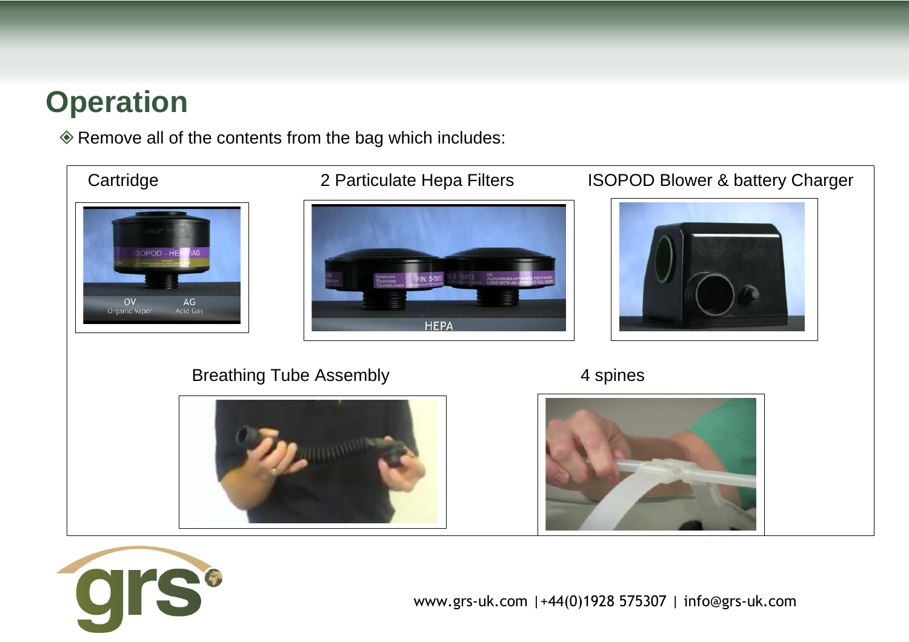## **Operation**

Remove all of the contents from the bag which includes:



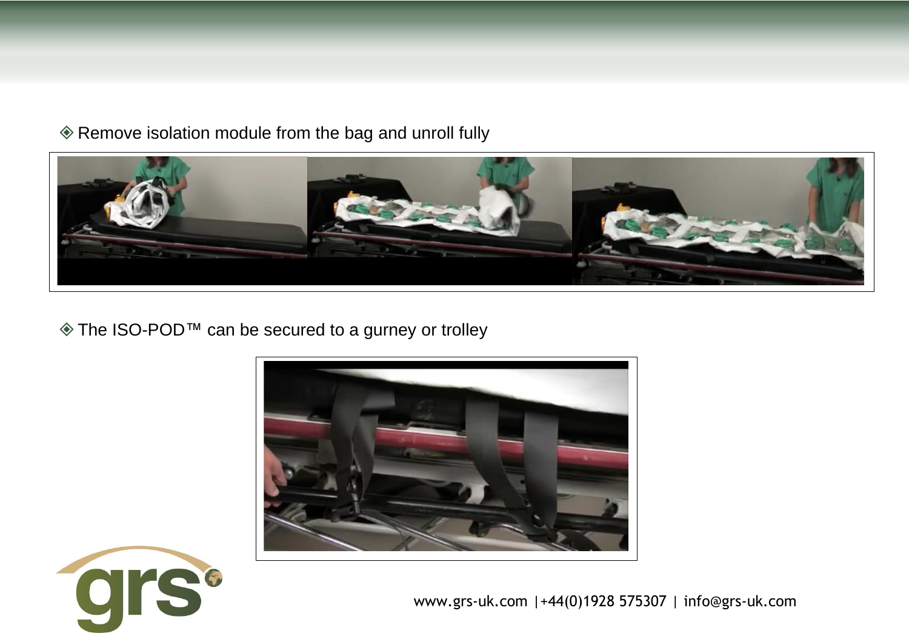Remove isolation module from the bag and unroll fully



The ISO-POD™ can be secured to a gurney or trolley



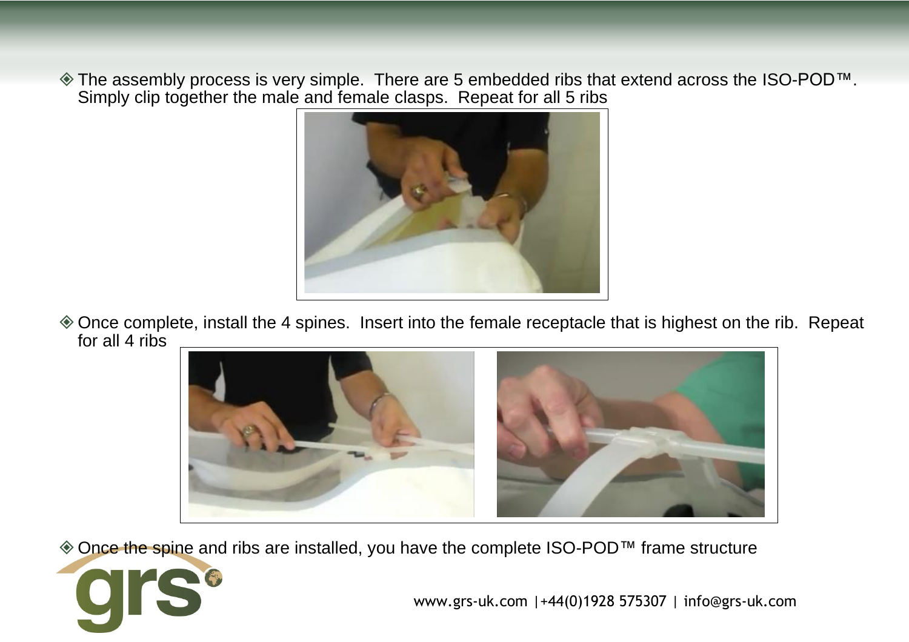The assembly process is very simple. There are 5 embedded ribs that extend across the ISO-POD™. Simply clip together the male and female clasps. Repeat for all 5 ribs



Once complete, install the 4 spines. Insert into the female receptacle that is highest on the rib. Repeat for all 4 ribs



◆ Once the spine and ribs are installed, you have the complete ISO-POD<sup>™</sup> frame structure

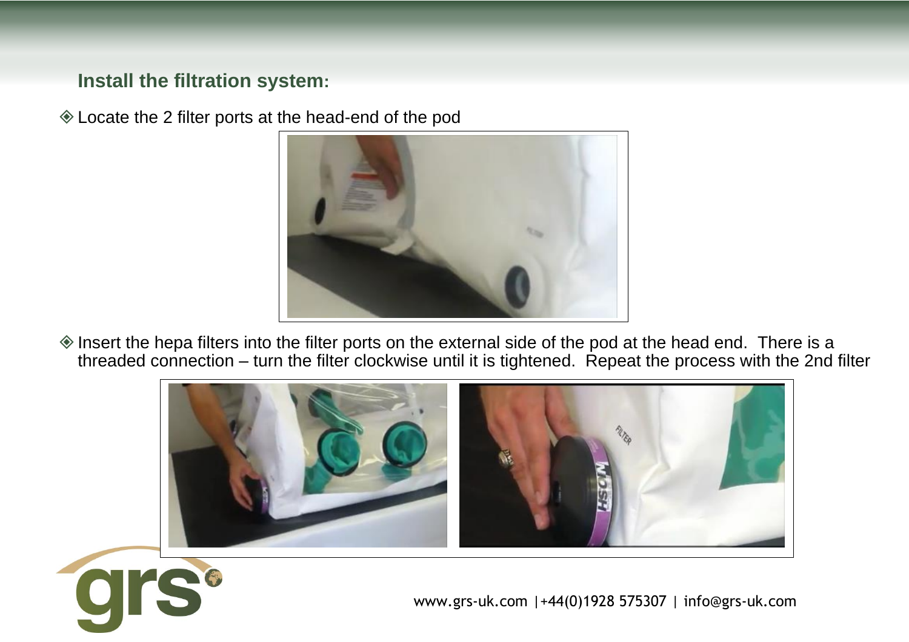### **Install the filtration system:**

Locate the 2 filter ports at the head-end of the pod



 $\Diamond$  Insert the hepa filters into the filter ports on the external side of the pod at the head end. There is a threaded connection – turn the filter clockwise until it is tightened. Repeat the process with the 2nd filter



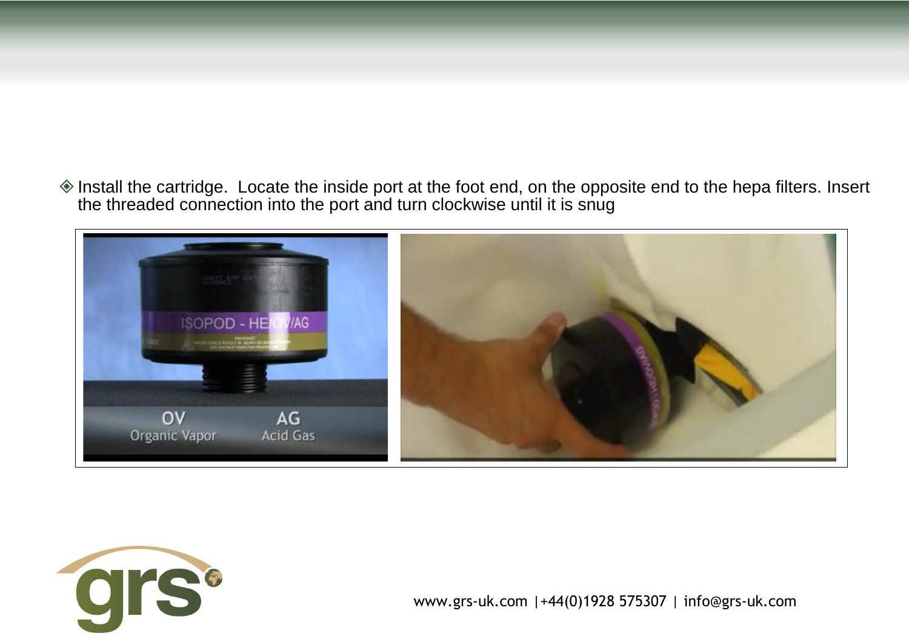$\Diamond$  Install the cartridge. Locate the inside port at the foot end, on the opposite end to the hepa filters. Insert the threaded connection into the port and turn clockwise until it is snug



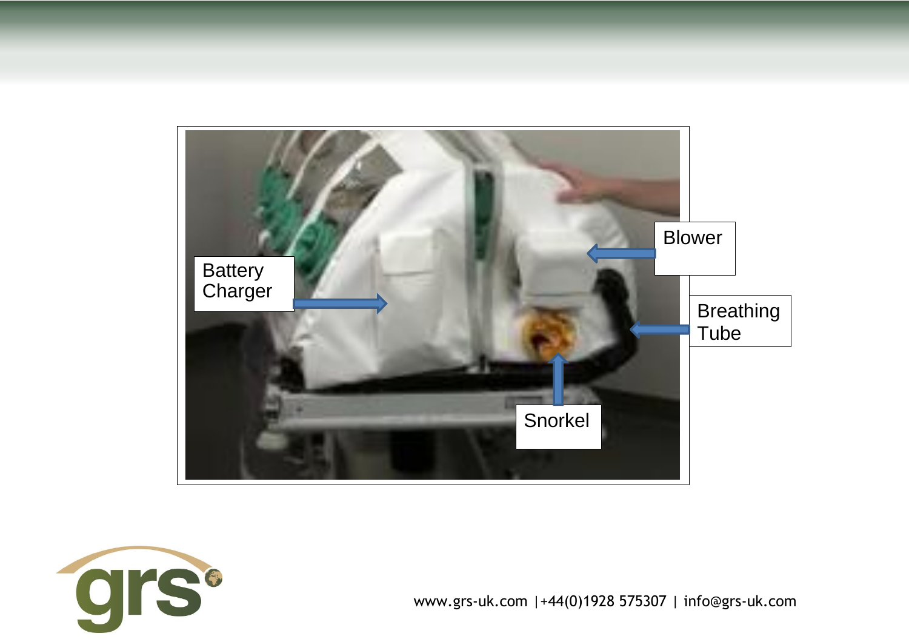

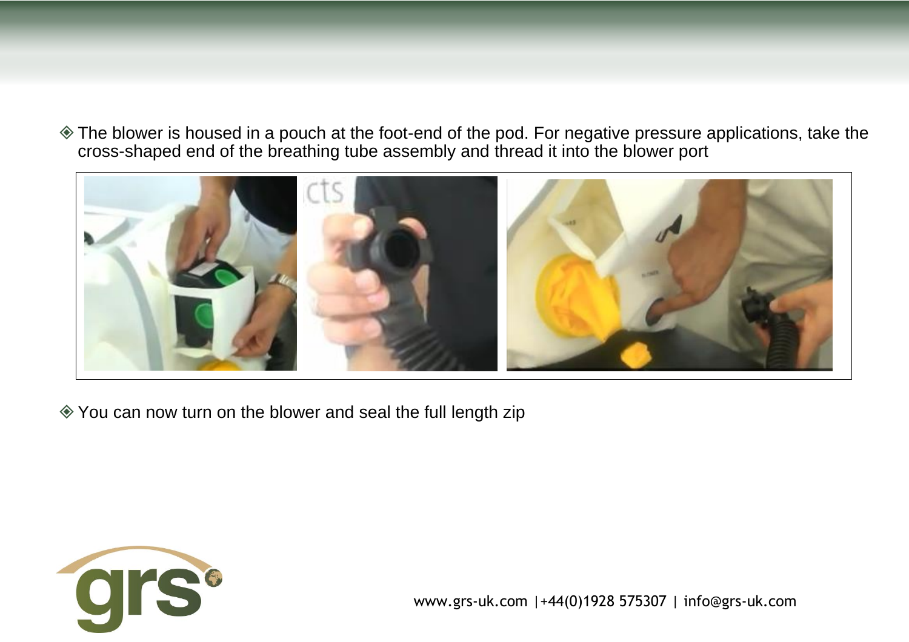The blower is housed in a pouch at the foot-end of the pod. For negative pressure applications, take the cross-shaped end of the breathing tube assembly and thread it into the blower port



You can now turn on the blower and seal the full length zip

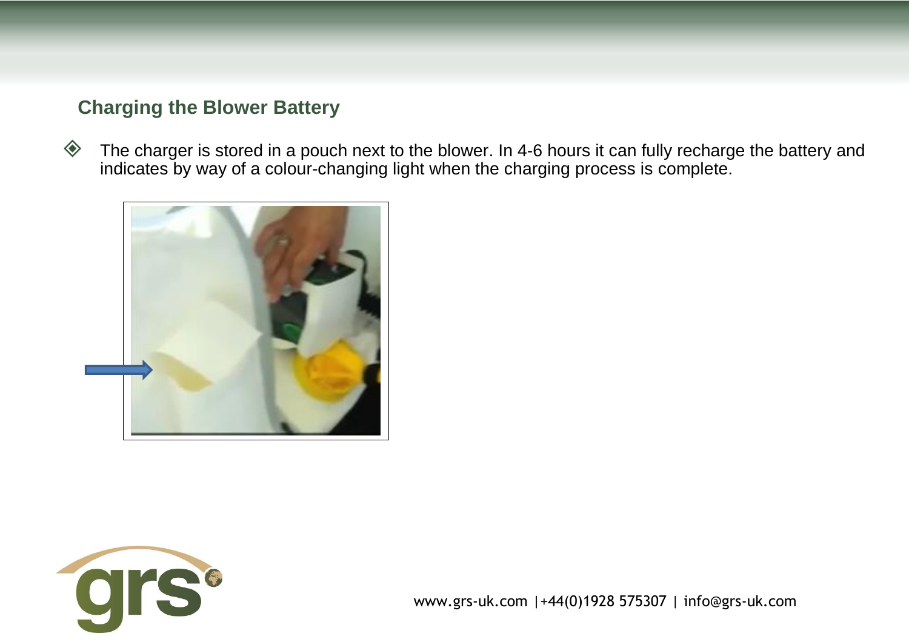### **Charging the Blower Battery**

 $\diamondsuit$  The charger is stored in a pouch next to the blower. In 4-6 hours it can fully recharge the battery and indicates by way of a colour-changing light when the charging process is complete.



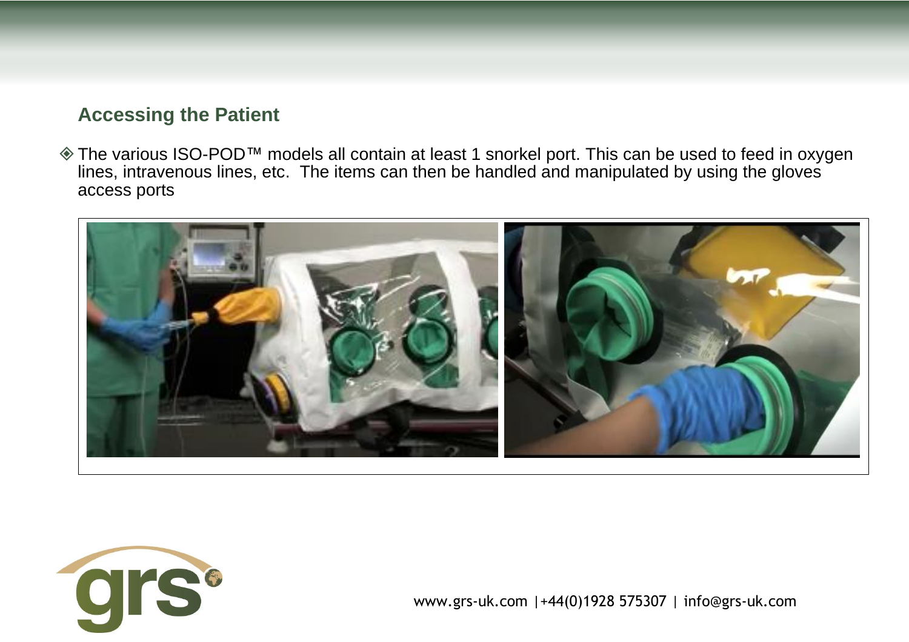#### **Accessing the Patient**

◆ The various ISO-POD<sup>™</sup> models all contain at least 1 snorkel port. This can be used to feed in oxygen lines, intravenous lines, etc. The items can then be handled and manipulated by using the gloves access ports



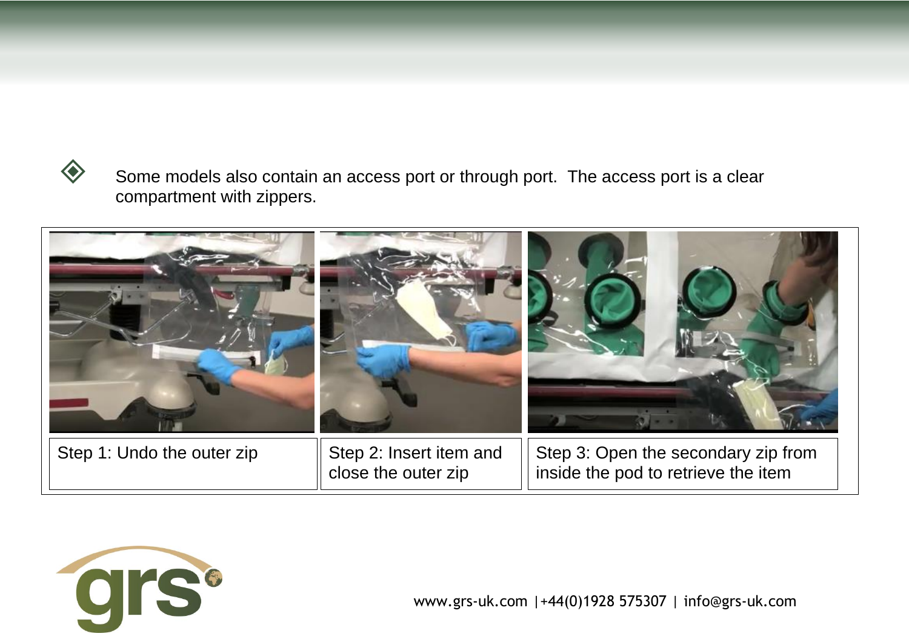

 Some models also contain an access port or through port. The access port is a clear compartment with zippers.